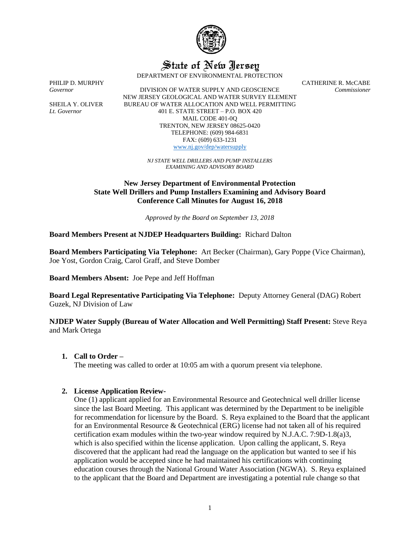

State of New Jersey

DEPARTMENT OF ENVIRONMENTAL PROTECTION

PHILIP D. MURPHY CATHERINE R. McCABE

*Governor* DIVISION OF WATER SUPPLY AND GEOSCIENCE *Commissioner* NEW JERSEY GEOLOGICAL AND WATER SURVEY ELEMENT SHEILA Y. OLIVER BUREAU OF WATER ALLOCATION AND WELL PERMITTING *Lt. Governor* 401 E. STATE STREET – P.O. BOX 420 MAIL CODE 401-0Q TRENTON, NEW JERSEY 08625-0420 TELEPHONE: (609) 984-6831 FAX: (609) 633-1231 [www.nj.gov/dep/watersupply](http://www.nj.gov/dep/watersupply)

*NJ STATE WELL DRILLERS AND PUMP INSTALLERS EXAMINING AND ADVISORY BOARD*

**New Jersey Department of Environmental Protection State Well Drillers and Pump Installers Examining and Advisory Board Conference Call Minutes for August 16, 2018**

*Approved by the Board on September 13, 2018*

**Board Members Present at NJDEP Headquarters Building:** Richard Dalton

**Board Members Participating Via Telephone:** Art Becker (Chairman), Gary Poppe (Vice Chairman), Joe Yost, Gordon Craig, Carol Graff, and Steve Domber

**Board Members Absent:** Joe Pepe and Jeff Hoffman

**Board Legal Representative Participating Via Telephone:** Deputy Attorney General (DAG) Robert Guzek, NJ Division of Law

**NJDEP Water Supply (Bureau of Water Allocation and Well Permitting) Staff Present:** Steve Reya and Mark Ortega

### **1. Call to Order –**

The meeting was called to order at 10:05 am with a quorum present via telephone.

### **2. License Application Review-**

One (1) applicant applied for an Environmental Resource and Geotechnical well driller license since the last Board Meeting. This applicant was determined by the Department to be ineligible for recommendation for licensure by the Board. S. Reya explained to the Board that the applicant for an Environmental Resource & Geotechnical (ERG) license had not taken all of his required certification exam modules within the two-year window required by N.J.A.C. 7:9D-1.8(a)3, which is also specified within the license application. Upon calling the applicant, S. Reya discovered that the applicant had read the language on the application but wanted to see if his application would be accepted since he had maintained his certifications with continuing education courses through the National Ground Water Association (NGWA). S. Reya explained to the applicant that the Board and Department are investigating a potential rule change so that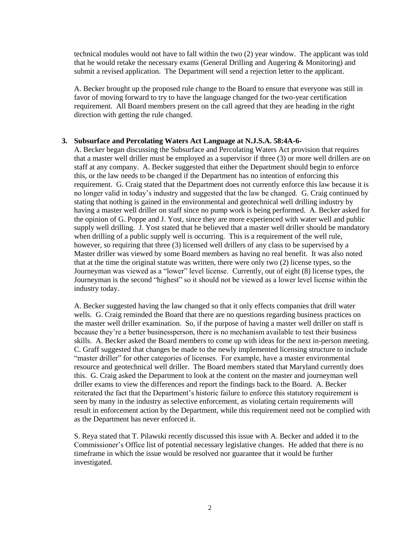technical modules would not have to fall within the two (2) year window. The applicant was told that he would retake the necessary exams (General Drilling and Augering & Monitoring) and submit a revised application. The Department will send a rejection letter to the applicant.

A. Becker brought up the proposed rule change to the Board to ensure that everyone was still in favor of moving forward to try to have the language changed for the two-year certification requirement. All Board members present on the call agreed that they are heading in the right direction with getting the rule changed.

#### **3. Subsurface and Percolating Waters Act Language at N.J.S.A. 58:4A-6-**

A. Becker began discussing the Subsurface and Percolating Waters Act provision that requires that a master well driller must be employed as a supervisor if three (3) or more well drillers are on staff at any company. A. Becker suggested that either the Department should begin to enforce this, or the law needs to be changed if the Department has no intention of enforcing this requirement. G. Craig stated that the Department does not currently enforce this law because it is no longer valid in today's industry and suggested that the law be changed. G. Craig continued by stating that nothing is gained in the environmental and geotechnical well drilling industry by having a master well driller on staff since no pump work is being performed. A. Becker asked for the opinion of G. Poppe and J. Yost, since they are more experienced with water well and public supply well drilling. J. Yost stated that he believed that a master well driller should be mandatory when drilling of a public supply well is occurring. This is a requirement of the well rule, however, so requiring that three (3) licensed well drillers of any class to be supervised by a Master driller was viewed by some Board members as having no real benefit. It was also noted that at the time the original statute was written, there were only two (2) license types, so the Journeyman was viewed as a "lower" level license. Currently, out of eight (8) license types, the Journeyman is the second "highest" so it should not be viewed as a lower level license within the industry today.

A. Becker suggested having the law changed so that it only effects companies that drill water wells. G. Craig reminded the Board that there are no questions regarding business practices on the master well driller examination. So, if the purpose of having a master well driller on staff is because they're a better businessperson, there is no mechanism available to test their business skills. A. Becker asked the Board members to come up with ideas for the next in-person meeting. C. Graff suggested that changes be made to the newly implemented licensing structure to include "master driller" for other categories of licenses. For example, have a master environmental resource and geotechnical well driller. The Board members stated that Maryland currently does this. G. Craig asked the Department to look at the content on the master and journeyman well driller exams to view the differences and report the findings back to the Board. A. Becker reiterated the fact that the Department's historic failure to enforce this statutory requirement is seen by many in the industry as selective enforcement, as violating certain requirements will result in enforcement action by the Department, while this requirement need not be complied with as the Department has never enforced it.

S. Reya stated that T. Pilawski recently discussed this issue with A. Becker and added it to the Commissioner's Office list of potential necessary legislative changes. He added that there is no timeframe in which the issue would be resolved nor guarantee that it would be further investigated.